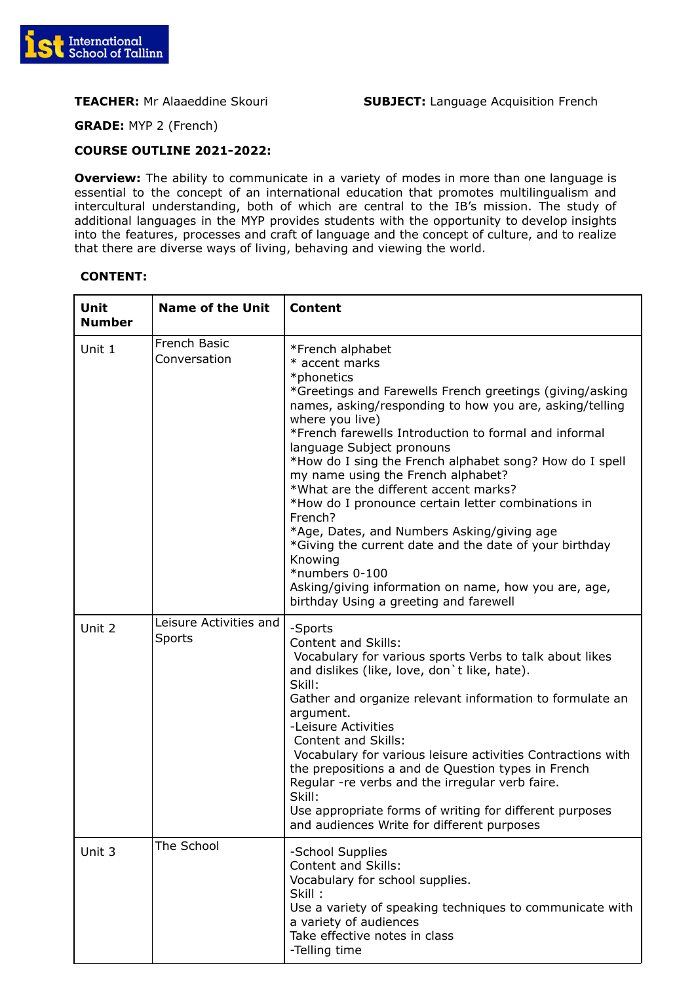

**GRADE:** MYP 2 (French)

## **COURSE OUTLINE 2021-2022:**

**Overview:** The ability to communicate in a variety of modes in more than one language is essential to the concept of an international education that promotes multilingualism and intercultural understanding, both of which are central to the IB's mission. The study of additional languages in the MYP provides students with the opportunity to develop insights into the features, processes and craft of language and the concept of culture, and to realize that there are diverse ways of living, behaving and viewing the world.

| Unit<br><b>Number</b> | <b>Name of the Unit</b>          | <b>Content</b>                                                                                                                                                                                                                                                                                                                                                                                                                                                                                                                                                                                                                                                                                                                     |
|-----------------------|----------------------------------|------------------------------------------------------------------------------------------------------------------------------------------------------------------------------------------------------------------------------------------------------------------------------------------------------------------------------------------------------------------------------------------------------------------------------------------------------------------------------------------------------------------------------------------------------------------------------------------------------------------------------------------------------------------------------------------------------------------------------------|
| Unit 1                | French Basic<br>Conversation     | *French alphabet<br>* accent marks<br>*phonetics<br>*Greetings and Farewells French greetings (giving/asking<br>names, asking/responding to how you are, asking/telling<br>where you live)<br>*French farewells Introduction to formal and informal<br>language Subject pronouns<br>*How do I sing the French alphabet song? How do I spell<br>my name using the French alphabet?<br>*What are the different accent marks?<br>*How do I pronounce certain letter combinations in<br>French?<br>*Age, Dates, and Numbers Asking/giving age<br>*Giving the current date and the date of your birthday<br>Knowing<br>*numbers 0-100<br>Asking/giving information on name, how you are, age,<br>birthday Using a greeting and farewell |
| Unit 2                | Leisure Activities and<br>Sports | -Sports<br><b>Content and Skills:</b><br>Vocabulary for various sports Verbs to talk about likes<br>and dislikes (like, love, don't like, hate).<br>Skill:<br>Gather and organize relevant information to formulate an<br>argument.<br>-Leisure Activities<br>Content and Skills:<br>Vocabulary for various leisure activities Contractions with<br>the prepositions a and de Question types in French<br>Regular -re verbs and the irregular verb faire.<br>Skill:<br>Use appropriate forms of writing for different purposes<br>and audiences Write for different purposes                                                                                                                                                       |
| Unit 3                | The School                       | -School Supplies<br>Content and Skills:<br>Vocabulary for school supplies.<br>Skill:<br>Use a variety of speaking techniques to communicate with<br>a variety of audiences<br>Take effective notes in class<br>-Telling time                                                                                                                                                                                                                                                                                                                                                                                                                                                                                                       |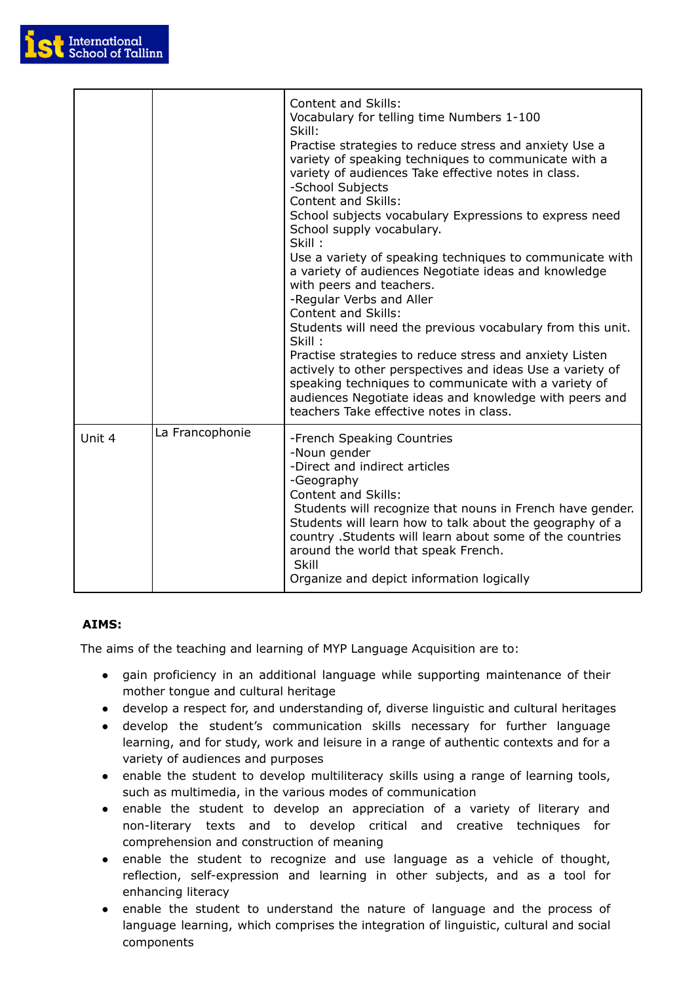

|        |                 | <b>Content and Skills:</b><br>Vocabulary for telling time Numbers 1-100<br>Skill:<br>Practise strategies to reduce stress and anxiety Use a<br>variety of speaking techniques to communicate with a<br>variety of audiences Take effective notes in class.<br>-School Subjects<br><b>Content and Skills:</b><br>School subjects vocabulary Expressions to express need<br>School supply vocabulary.<br>Skill:<br>Use a variety of speaking techniques to communicate with<br>a variety of audiences Negotiate ideas and knowledge<br>with peers and teachers.<br>-Regular Verbs and Aller<br><b>Content and Skills:</b><br>Students will need the previous vocabulary from this unit.<br>Skill:<br>Practise strategies to reduce stress and anxiety Listen<br>actively to other perspectives and ideas Use a variety of<br>speaking techniques to communicate with a variety of<br>audiences Negotiate ideas and knowledge with peers and<br>teachers Take effective notes in class. |
|--------|-----------------|--------------------------------------------------------------------------------------------------------------------------------------------------------------------------------------------------------------------------------------------------------------------------------------------------------------------------------------------------------------------------------------------------------------------------------------------------------------------------------------------------------------------------------------------------------------------------------------------------------------------------------------------------------------------------------------------------------------------------------------------------------------------------------------------------------------------------------------------------------------------------------------------------------------------------------------------------------------------------------------|
| Unit 4 | La Francophonie | -French Speaking Countries<br>-Noun gender<br>-Direct and indirect articles<br>-Geography<br><b>Content and Skills:</b><br>Students will recognize that nouns in French have gender.<br>Students will learn how to talk about the geography of a<br>country . Students will learn about some of the countries<br>around the world that speak French.<br>Skill<br>Organize and depict information logically                                                                                                                                                                                                                                                                                                                                                                                                                                                                                                                                                                           |

# **AIMS:**

The aims of the teaching and learning of MYP Language Acquisition are to:

- gain proficiency in an additional language while supporting maintenance of their mother tongue and cultural heritage
- develop a respect for, and understanding of, diverse linguistic and cultural heritages
- develop the student's communication skills necessary for further language learning, and for study, work and leisure in a range of authentic contexts and for a variety of audiences and purposes
- enable the student to develop multiliteracy skills using a range of learning tools, such as multimedia, in the various modes of communication
- enable the student to develop an appreciation of a variety of literary and non-literary texts and to develop critical and creative techniques for comprehension and construction of meaning
- enable the student to recognize and use language as a vehicle of thought, reflection, self-expression and learning in other subjects, and as a tool for enhancing literacy
- enable the student to understand the nature of language and the process of language learning, which comprises the integration of linguistic, cultural and social components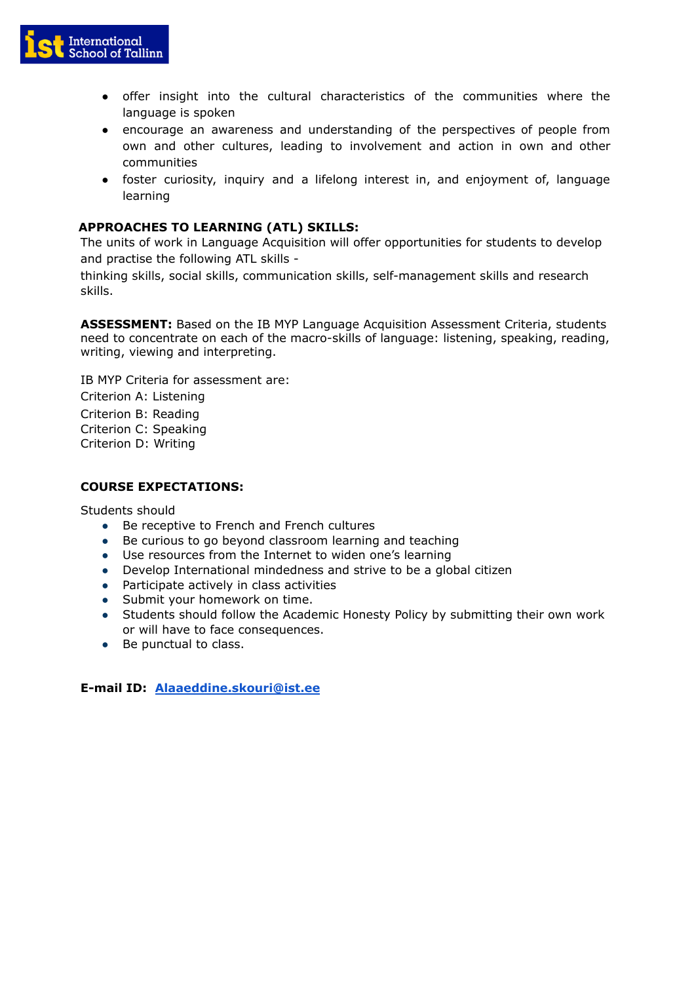

- offer insight into the cultural characteristics of the communities where the language is spoken
- encourage an awareness and understanding of the perspectives of people from own and other cultures, leading to involvement and action in own and other communities
- foster curiosity, inquiry and a lifelong interest in, and enjoyment of, language learning

## **APPROACHES TO LEARNING (ATL) SKILLS:**

The units of work in Language Acquisition will offer opportunities for students to develop and practise the following ATL skills -

thinking skills, social skills, communication skills, self-management skills and research skills.

**ASSESSMENT:** Based on the IB MYP Language Acquisition Assessment Criteria, students need to concentrate on each of the macro-skills of language: listening, speaking, reading, writing, viewing and interpreting.

IB MYP Criteria for assessment are:

Criterion A: Listening Criterion B: Reading Criterion C: Speaking Criterion D: Writing

## **COURSE EXPECTATIONS:**

Students should

- Be receptive to French and French cultures
- Be curious to go beyond classroom learning and teaching
- Use resources from the Internet to widen one's learning
- Develop International mindedness and strive to be a global citizen
- Participate actively in class activities
- Submit your homework on time.
- Students should follow the Academic Honesty Policy by submitting their own work or will have to face consequences.
- Be punctual to class.

**E-mail ID: [Alaaeddine.skouri@ist.ee](mailto:Alaaeddine.skouri@ist.ee)**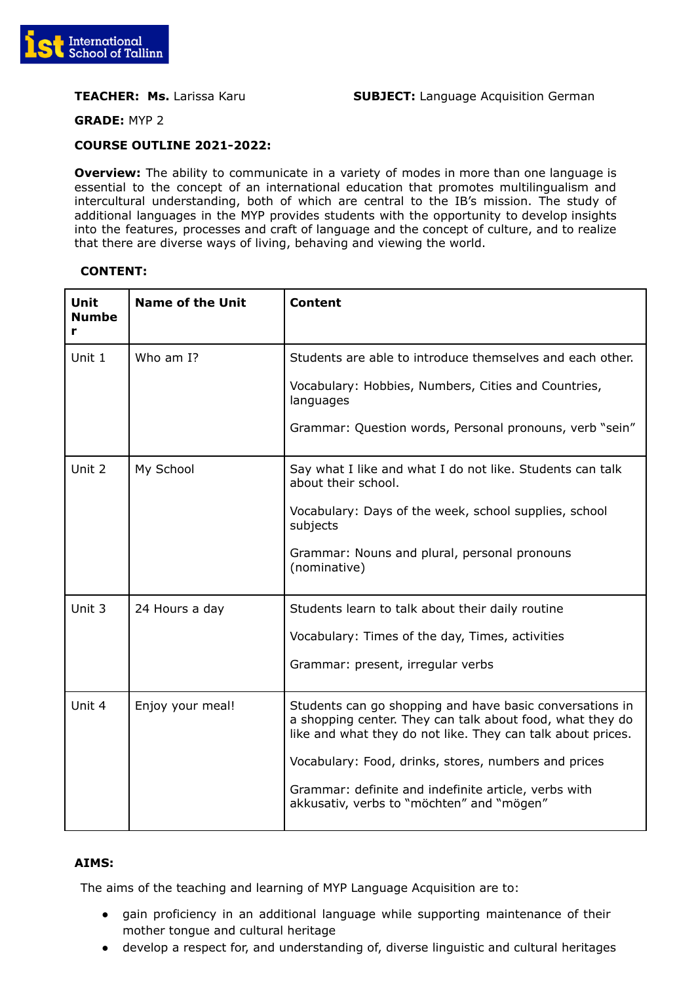

**GRADE:** MYP 2

## **COURSE OUTLINE 2021-2022:**

**Overview:** The ability to communicate in a variety of modes in more than one language is essential to the concept of an international education that promotes multilingualism and intercultural understanding, both of which are central to the IB's mission. The study of additional languages in the MYP provides students with the opportunity to develop insights into the features, processes and craft of language and the concept of culture, and to realize that there are diverse ways of living, behaving and viewing the world.

## **CONTENT:**

| Unit<br><b>Numbe</b><br>r | <b>Name of the Unit</b> | <b>Content</b>                                                                                                                                                                       |
|---------------------------|-------------------------|--------------------------------------------------------------------------------------------------------------------------------------------------------------------------------------|
| Unit 1                    | Who am I?               | Students are able to introduce themselves and each other.                                                                                                                            |
|                           |                         | Vocabulary: Hobbies, Numbers, Cities and Countries,<br>languages                                                                                                                     |
|                           |                         | Grammar: Question words, Personal pronouns, verb "sein"                                                                                                                              |
| Unit 2                    | My School               | Say what I like and what I do not like. Students can talk<br>about their school.                                                                                                     |
|                           |                         | Vocabulary: Days of the week, school supplies, school<br>subjects                                                                                                                    |
|                           |                         | Grammar: Nouns and plural, personal pronouns<br>(nominative)                                                                                                                         |
| Unit 3                    | 24 Hours a day          | Students learn to talk about their daily routine                                                                                                                                     |
|                           |                         | Vocabulary: Times of the day, Times, activities                                                                                                                                      |
|                           |                         | Grammar: present, irregular verbs                                                                                                                                                    |
| Unit 4                    | Enjoy your meal!        | Students can go shopping and have basic conversations in<br>a shopping center. They can talk about food, what they do<br>like and what they do not like. They can talk about prices. |
|                           |                         | Vocabulary: Food, drinks, stores, numbers and prices                                                                                                                                 |
|                           |                         | Grammar: definite and indefinite article, verbs with<br>akkusativ, verbs to "möchten" and "mögen"                                                                                    |

## **AIMS:**

The aims of the teaching and learning of MYP Language Acquisition are to:

- gain proficiency in an additional language while supporting maintenance of their mother tongue and cultural heritage
- develop a respect for, and understanding of, diverse linguistic and cultural heritages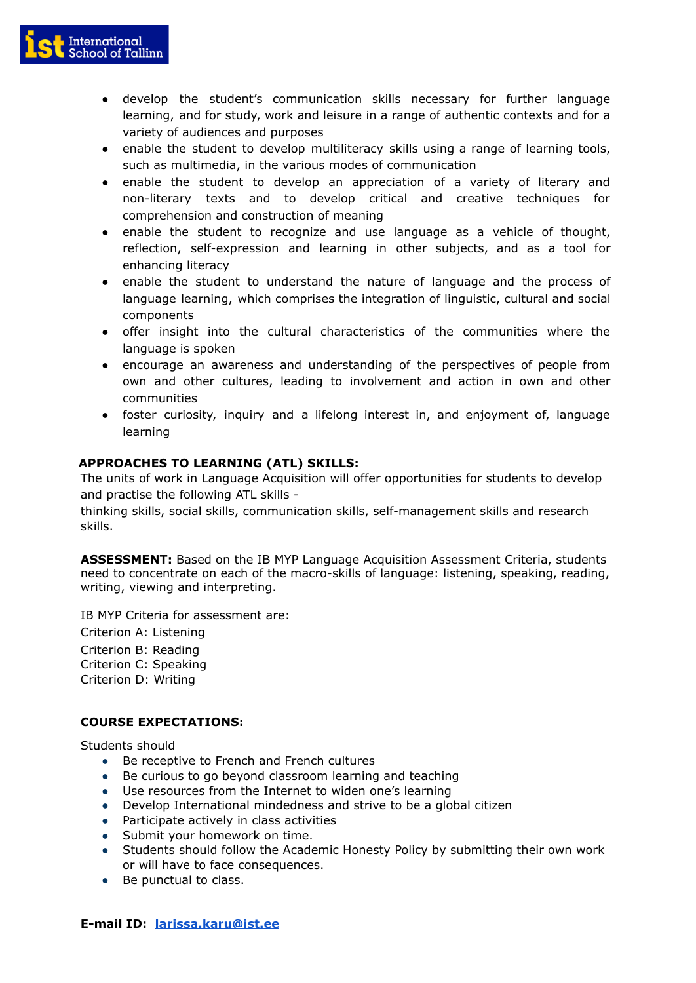

- develop the student's communication skills necessary for further language learning, and for study, work and leisure in a range of authentic contexts and for a variety of audiences and purposes
- enable the student to develop multiliteracy skills using a range of learning tools, such as multimedia, in the various modes of communication
- enable the student to develop an appreciation of a variety of literary and non-literary texts and to develop critical and creative techniques for comprehension and construction of meaning
- enable the student to recognize and use language as a vehicle of thought, reflection, self-expression and learning in other subjects, and as a tool for enhancing literacy
- enable the student to understand the nature of language and the process of language learning, which comprises the integration of linguistic, cultural and social components
- offer insight into the cultural characteristics of the communities where the language is spoken
- encourage an awareness and understanding of the perspectives of people from own and other cultures, leading to involvement and action in own and other communities
- foster curiosity, inquiry and a lifelong interest in, and enjoyment of, language learning

## **APPROACHES TO LEARNING (ATL) SKILLS:**

The units of work in Language Acquisition will offer opportunities for students to develop and practise the following ATL skills -

thinking skills, social skills, communication skills, self-management skills and research skills.

**ASSESSMENT:** Based on the IB MYP Language Acquisition Assessment Criteria, students need to concentrate on each of the macro-skills of language: listening, speaking, reading, writing, viewing and interpreting.

IB MYP Criteria for assessment are:

Criterion A: Listening Criterion B: Reading

Criterion C: Speaking Criterion D: Writing

## **COURSE EXPECTATIONS:**

Students should

- Be receptive to French and French cultures
- Be curious to go beyond classroom learning and teaching
- Use resources from the Internet to widen one's learning
- Develop International mindedness and strive to be a global citizen
- Participate actively in class activities
- Submit your homework on time.
- Students should follow the Academic Honesty Policy by submitting their own work or will have to face consequences.
- Be punctual to class.

## **E-mail ID: [larissa.karu@ist.ee](mailto:larissa.karu@ist.ee)**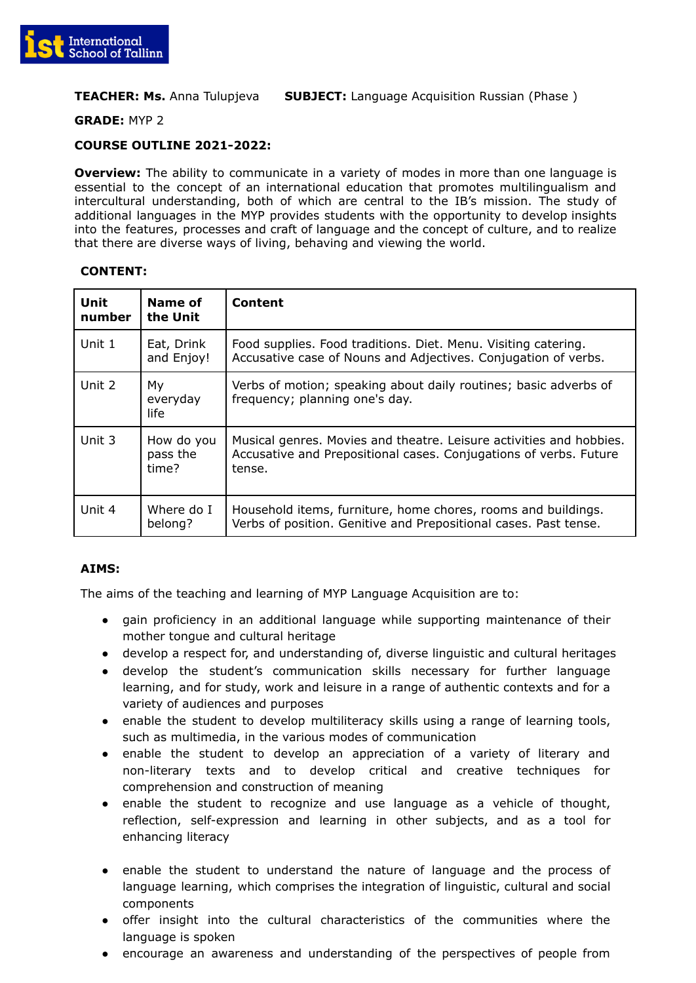

## **TEACHER: Ms.** Anna Tulupjeva **SUBJECT:** Language Acquisition Russian (Phase )

#### **GRADE:** MYP 2

## **COURSE OUTLINE 2021-2022:**

**Overview:** The ability to communicate in a variety of modes in more than one language is essential to the concept of an international education that promotes multilingualism and intercultural understanding, both of which are central to the IB's mission. The study of additional languages in the MYP provides students with the opportunity to develop insights into the features, processes and craft of language and the concept of culture, and to realize that there are diverse ways of living, behaving and viewing the world.

#### **CONTENT:**

| Unit<br>number | Name of<br>the Unit             | Content                                                                                                                                            |
|----------------|---------------------------------|----------------------------------------------------------------------------------------------------------------------------------------------------|
| Unit 1         | Eat, Drink<br>and Enjoy!        | Food supplies. Food traditions. Diet. Menu. Visiting catering.<br>Accusative case of Nouns and Adjectives. Conjugation of verbs.                   |
| Unit 2         | My<br>everyday<br>life          | Verbs of motion; speaking about daily routines; basic adverbs of<br>frequency; planning one's day.                                                 |
| Unit $3$       | How do you<br>pass the<br>time? | Musical genres. Movies and theatre. Leisure activities and hobbies.<br>Accusative and Prepositional cases. Conjugations of verbs. Future<br>tense. |
| Unit 4         | Where do I<br>belong?           | Household items, furniture, home chores, rooms and buildings.<br>Verbs of position. Genitive and Prepositional cases. Past tense.                  |

# **AIMS:**

The aims of the teaching and learning of MYP Language Acquisition are to:

- gain proficiency in an additional language while supporting maintenance of their mother tongue and cultural heritage
- develop a respect for, and understanding of, diverse linguistic and cultural heritages
- develop the student's communication skills necessary for further language learning, and for study, work and leisure in a range of authentic contexts and for a variety of audiences and purposes
- enable the student to develop multiliteracy skills using a range of learning tools, such as multimedia, in the various modes of communication
- enable the student to develop an appreciation of a variety of literary and non-literary texts and to develop critical and creative techniques for comprehension and construction of meaning
- enable the student to recognize and use language as a vehicle of thought, reflection, self-expression and learning in other subjects, and as a tool for enhancing literacy
- enable the student to understand the nature of language and the process of language learning, which comprises the integration of linguistic, cultural and social components
- offer insight into the cultural characteristics of the communities where the language is spoken
- encourage an awareness and understanding of the perspectives of people from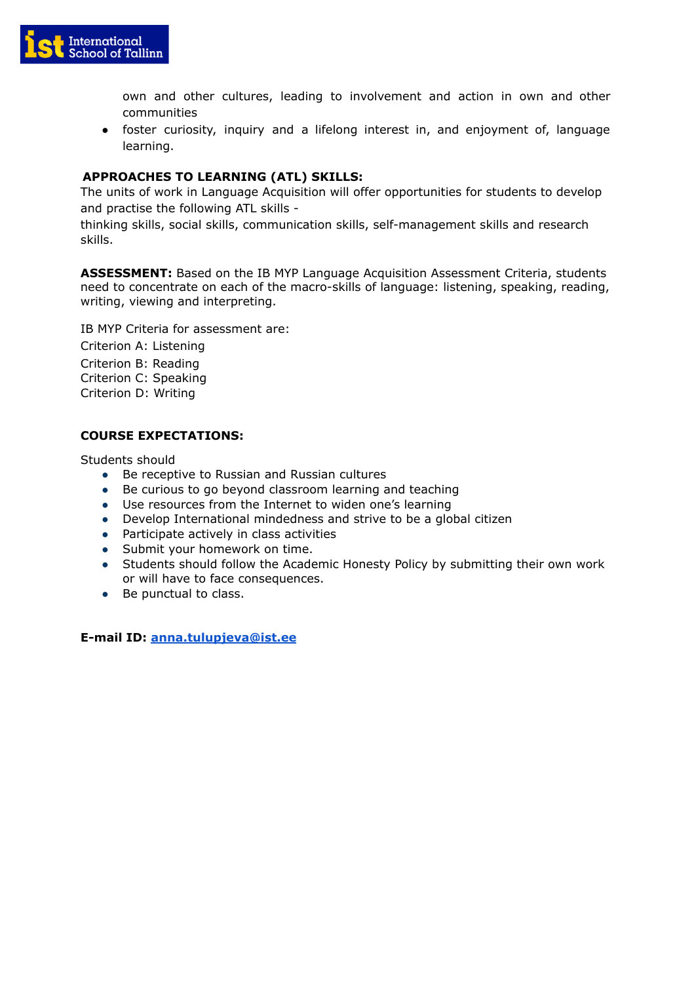

own and other cultures, leading to involvement and action in own and other communities

● foster curiosity, inquiry and a lifelong interest in, and enjoyment of, language learning.

# **APPROACHES TO LEARNING (ATL) SKILLS:**

The units of work in Language Acquisition will offer opportunities for students to develop and practise the following ATL skills -

thinking skills, social skills, communication skills, self-management skills and research skills.

**ASSESSMENT:** Based on the IB MYP Language Acquisition Assessment Criteria, students need to concentrate on each of the macro-skills of language: listening, speaking, reading, writing, viewing and interpreting.

IB MYP Criteria for assessment are:

Criterion A: Listening Criterion B: Reading Criterion C: Speaking Criterion D: Writing

# **COURSE EXPECTATIONS:**

Students should

- Be receptive to Russian and Russian cultures
- Be curious to go beyond classroom learning and teaching
- Use resources from the Internet to widen one's learning
- Develop International mindedness and strive to be a global citizen
- Participate actively in class activities
- Submit your homework on time.
- Students should follow the Academic Honesty Policy by submitting their own work or will have to face consequences.
- Be punctual to class.

**E-mail ID: [anna.tulupjeva@ist.ee](mailto:anna.tulupjeva@ist.ee)**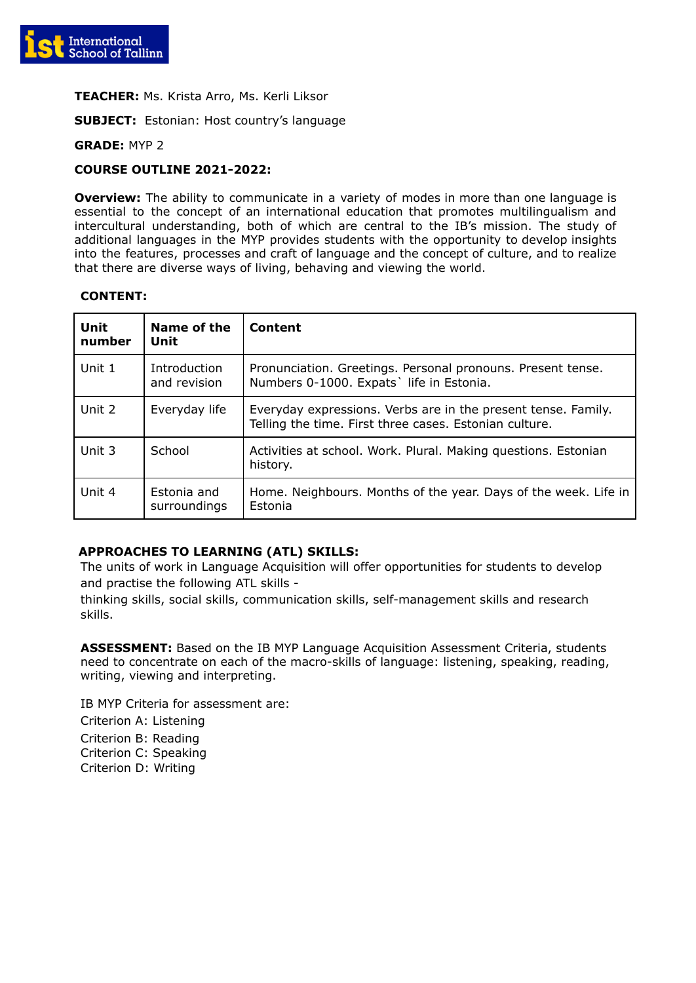

**TEACHER:** Ms. Krista Arro, Ms. Kerli Liksor

**SUBJECT:** Estonian: Host country's language

#### **GRADE:** MYP 2

## **COURSE OUTLINE 2021-2022:**

**Overview:** The ability to communicate in a variety of modes in more than one language is essential to the concept of an international education that promotes multilingualism and intercultural understanding, both of which are central to the IB's mission. The study of additional languages in the MYP provides students with the opportunity to develop insights into the features, processes and craft of language and the concept of culture, and to realize that there are diverse ways of living, behaving and viewing the world.

#### **CONTENT:**

| Unit<br>number | Name of the<br>Unit          | Content                                                                                                                 |
|----------------|------------------------------|-------------------------------------------------------------------------------------------------------------------------|
| Unit 1         | Introduction<br>and revision | Pronunciation. Greetings. Personal pronouns. Present tense.<br>Numbers 0-1000. Expats' life in Estonia.                 |
| Unit 2         | Everyday life                | Everyday expressions. Verbs are in the present tense. Family.<br>Telling the time. First three cases. Estonian culture. |
| Unit 3         | School                       | Activities at school. Work. Plural. Making questions. Estonian<br>history.                                              |
| Unit 4         | Estonia and<br>surroundings  | Home. Neighbours. Months of the year. Days of the week. Life in<br>Estonia                                              |

## **APPROACHES TO LEARNING (ATL) SKILLS:**

The units of work in Language Acquisition will offer opportunities for students to develop and practise the following ATL skills -

thinking skills, social skills, communication skills, self-management skills and research skills.

**ASSESSMENT:** Based on the IB MYP Language Acquisition Assessment Criteria, students need to concentrate on each of the macro-skills of language: listening, speaking, reading, writing, viewing and interpreting.

IB MYP Criteria for assessment are: Criterion A: Listening Criterion B: Reading Criterion C: Speaking Criterion D: Writing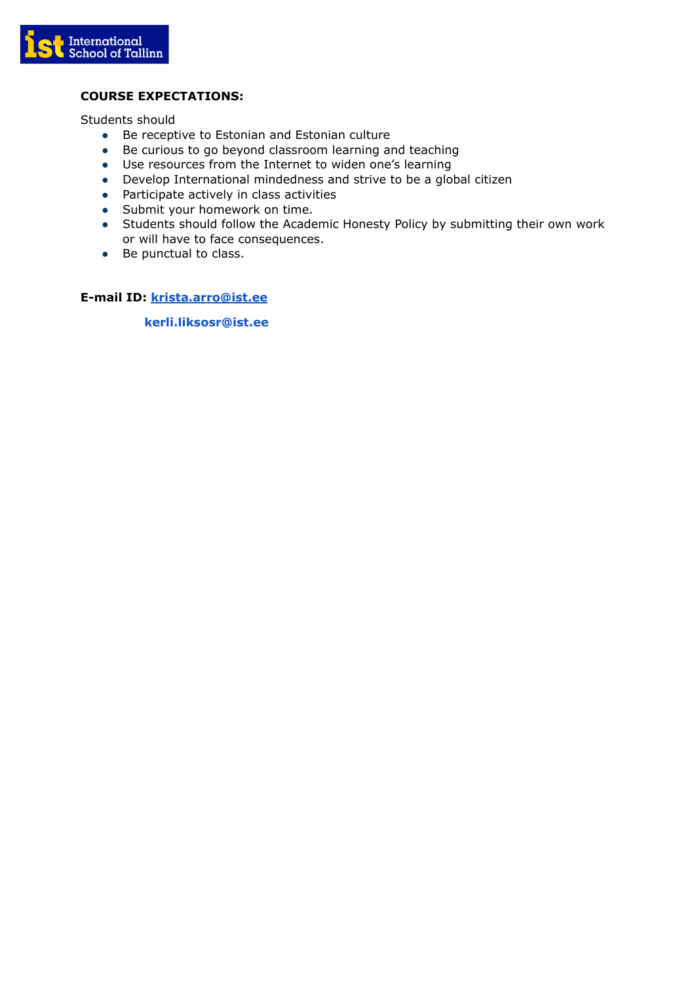

# **COURSE EXPECTATIONS:**

Students should

- Be receptive to Estonian and Estonian culture
- Be curious to go beyond classroom learning and teaching
- Use resources from the Internet to widen one's learning
- Develop International mindedness and strive to be a global citizen
- Participate actively in class activities
- Submit your homework on time.
- Students should follow the Academic Honesty Policy by submitting their own work or will have to face consequences.
- Be punctual to class.

**E-mail ID: [krista.arro@ist.ee](mailto:krista.arro@ist.ee)**

**kerli.liksosr@ist.ee**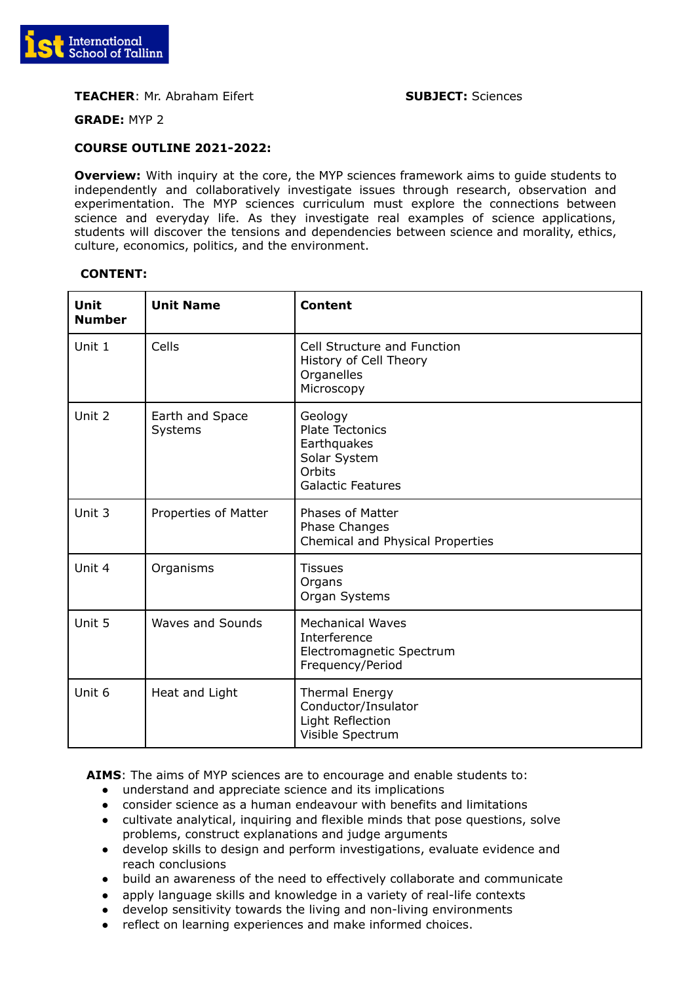

## **TEACHER**: Mr. Abraham Eifert **SUBJECT:** Sciences

**GRADE:** MYP 2

#### **COURSE OUTLINE 2021-2022:**

**Overview:** With inquiry at the core, the MYP sciences framework aims to guide students to independently and collaboratively investigate issues through research, observation and experimentation. The MYP sciences curriculum must explore the connections between science and everyday life. As they investigate real examples of science applications, students will discover the tensions and dependencies between science and morality, ethics, culture, economics, politics, and the environment.

## **CONTENT:**

| Unit<br><b>Number</b> | <b>Unit Name</b>           | <b>Content</b>                                                                                         |
|-----------------------|----------------------------|--------------------------------------------------------------------------------------------------------|
| Unit 1                | Cells                      | Cell Structure and Function<br>History of Cell Theory<br>Organelles<br>Microscopy                      |
| Unit 2                | Earth and Space<br>Systems | Geology<br><b>Plate Tectonics</b><br>Earthquakes<br>Solar System<br>Orbits<br><b>Galactic Features</b> |
| Unit 3                | Properties of Matter       | <b>Phases of Matter</b><br>Phase Changes<br>Chemical and Physical Properties                           |
| Unit 4                | Organisms                  | <b>Tissues</b><br>Organs<br>Organ Systems                                                              |
| Unit 5                | <b>Waves and Sounds</b>    | <b>Mechanical Waves</b><br>Interference<br>Electromagnetic Spectrum<br>Frequency/Period                |
| Unit 6                | Heat and Light             | <b>Thermal Energy</b><br>Conductor/Insulator<br>Light Reflection<br>Visible Spectrum                   |

**AIMS**: The aims of MYP sciences are to encourage and enable students to:

- understand and appreciate science and its implications
- consider science as a human endeavour with benefits and limitations
- cultivate analytical, inquiring and flexible minds that pose questions, solve problems, construct explanations and judge arguments
- develop skills to design and perform investigations, evaluate evidence and reach conclusions
- build an awareness of the need to effectively collaborate and communicate
- apply language skills and knowledge in a variety of real-life contexts
- develop sensitivity towards the living and non-living environments
- reflect on learning experiences and make informed choices.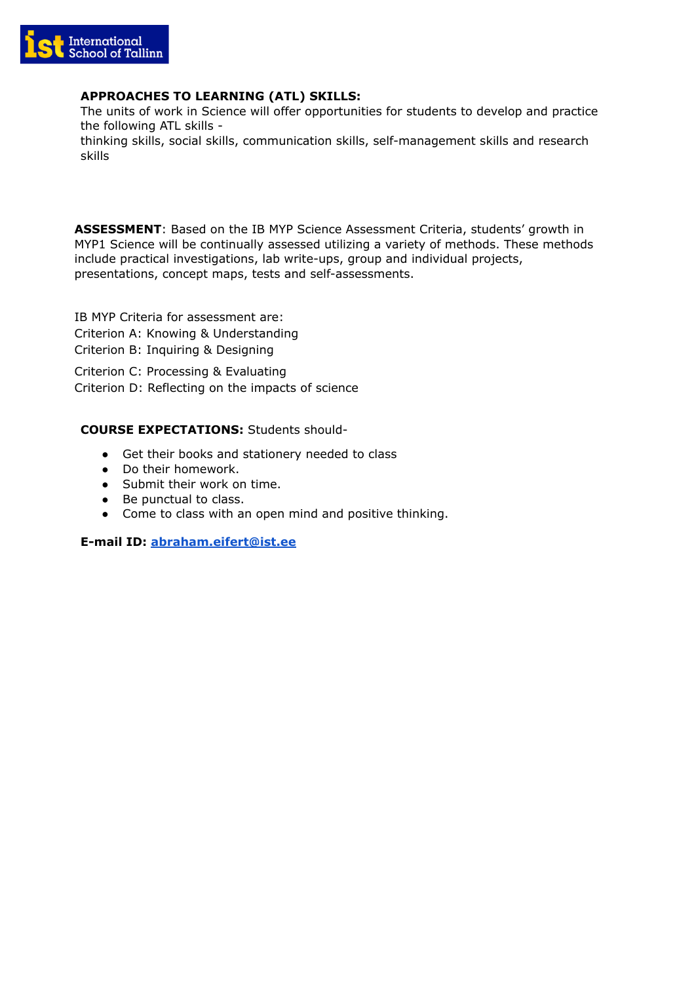

# **APPROACHES TO LEARNING (ATL) SKILLS:**

The units of work in Science will offer opportunities for students to develop and practice the following ATL skills -

thinking skills, social skills, communication skills, self-management skills and research skills

**ASSESSMENT**: Based on the IB MYP Science Assessment Criteria, students' growth in MYP1 Science will be continually assessed utilizing a variety of methods. These methods include practical investigations, lab write-ups, group and individual projects, presentations, concept maps, tests and self-assessments.

IB MYP Criteria for assessment are: Criterion A: Knowing & Understanding Criterion B: Inquiring & Designing

Criterion C: Processing & Evaluating Criterion D: Reflecting on the impacts of science

## **COURSE EXPECTATIONS:** Students should-

- Get their books and stationery needed to class
- Do their homework.
- Submit their work on time.
- Be punctual to class.
- Come to class with an open mind and positive thinking.

**E-mail ID: [abraham.eifert@ist.ee](mailto:abraham.eifert@ist.ee)**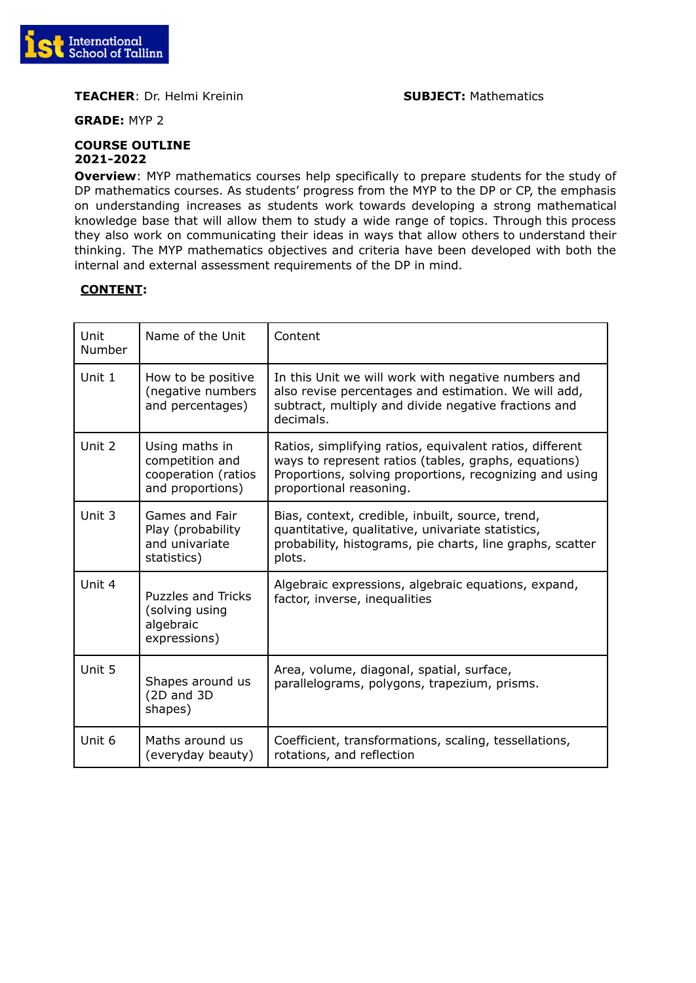

**TEACHER:** Dr. Helmi Kreinin **SUBJECT:** Mathematics

**GRADE:** MYP 2

#### **COURSE OUTLINE 2021-2022**

**Overview**: MYP mathematics courses help specifically to prepare students for the study of DP mathematics courses. As students' progress from the MYP to the DP or CP, the emphasis on understanding increases as students work towards developing a strong mathematical knowledge base that will allow them to study a wide range of topics. Through this process they also work on communicating their ideas in ways that allow others to understand their thinking. The MYP mathematics objectives and criteria have been developed with both the internal and external assessment requirements of the DP in mind.

| Unit<br>Number | Name of the Unit                                                             | Content                                                                                                                                                                                                |
|----------------|------------------------------------------------------------------------------|--------------------------------------------------------------------------------------------------------------------------------------------------------------------------------------------------------|
| Unit 1         | How to be positive<br>(negative numbers<br>and percentages)                  | In this Unit we will work with negative numbers and<br>also revise percentages and estimation. We will add,<br>subtract, multiply and divide negative fractions and<br>decimals.                       |
| Unit 2         | Using maths in<br>competition and<br>cooperation (ratios<br>and proportions) | Ratios, simplifying ratios, equivalent ratios, different<br>ways to represent ratios (tables, graphs, equations)<br>Proportions, solving proportions, recognizing and using<br>proportional reasoning. |
| Unit 3         | Games and Fair<br>Play (probability<br>and univariate<br>statistics)         | Bias, context, credible, inbuilt, source, trend,<br>quantitative, qualitative, univariate statistics,<br>probability, histograms, pie charts, line graphs, scatter<br>plots.                           |
| Unit 4         | <b>Puzzles and Tricks</b><br>(solving using<br>algebraic<br>expressions)     | Algebraic expressions, algebraic equations, expand,<br>factor, inverse, inequalities                                                                                                                   |
| Unit 5         | Shapes around us<br>(2D and 3D<br>shapes)                                    | Area, volume, diagonal, spatial, surface,<br>parallelograms, polygons, trapezium, prisms.                                                                                                              |
| Unit 6         | Maths around us<br>(everyday beauty)                                         | Coefficient, transformations, scaling, tessellations,<br>rotations, and reflection                                                                                                                     |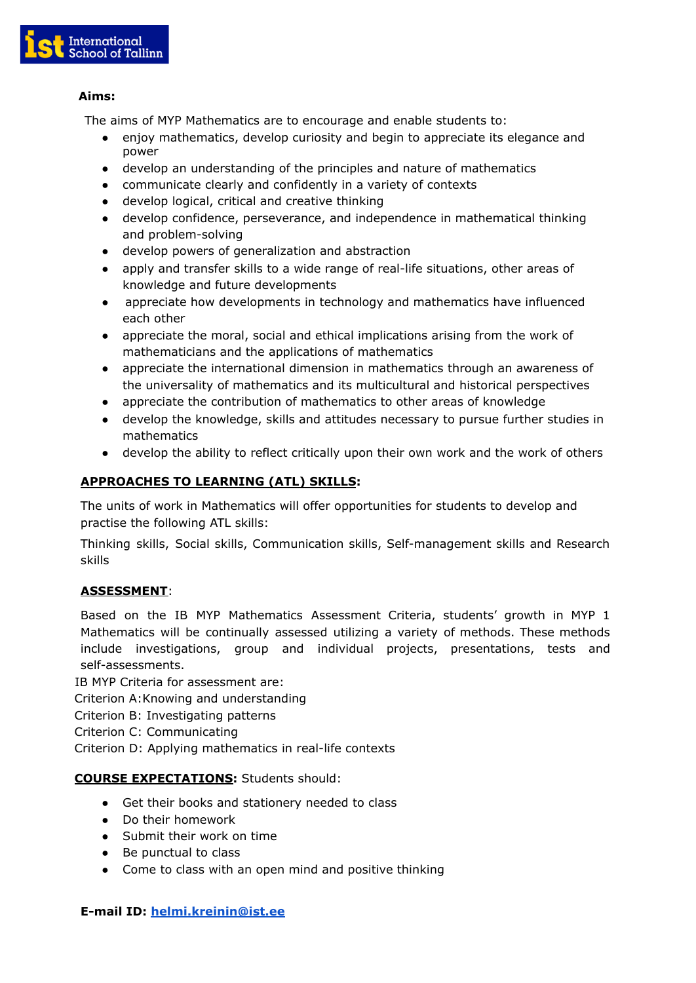

# **Aims:**

The aims of MYP Mathematics are to encourage and enable students to:

- enjoy mathematics, develop curiosity and begin to appreciate its elegance and power
- develop an understanding of the principles and nature of mathematics
- communicate clearly and confidently in a variety of contexts
- develop logical, critical and creative thinking
- develop confidence, perseverance, and independence in mathematical thinking and problem-solving
- develop powers of generalization and abstraction
- apply and transfer skills to a wide range of real-life situations, other areas of knowledge and future developments
- appreciate how developments in technology and mathematics have influenced each other
- appreciate the moral, social and ethical implications arising from the work of mathematicians and the applications of mathematics
- appreciate the international dimension in mathematics through an awareness of the universality of mathematics and its multicultural and historical perspectives
- appreciate the contribution of mathematics to other areas of knowledge
- develop the knowledge, skills and attitudes necessary to pursue further studies in mathematics
- develop the ability to reflect critically upon their own work and the work of others

# **APPROACHES TO LEARNING (ATL) SKILLS:**

The units of work in Mathematics will offer opportunities for students to develop and practise the following ATL skills:

Thinking skills, Social skills, Communication skills, Self-management skills and Research skills

# **ASSESSMENT**:

Based on the IB MYP Mathematics Assessment Criteria, students' growth in MYP 1 Mathematics will be continually assessed utilizing a variety of methods. These methods include investigations, group and individual projects, presentations, tests and self-assessments.

IB MYP Criteria for assessment are:

Criterion A:Knowing and understanding

- Criterion B: Investigating patterns
- Criterion C: Communicating

Criterion D: Applying mathematics in real-life contexts

# **COURSE EXPECTATIONS:** Students should:

- Get their books and stationery needed to class
- Do their homework
- Submit their work on time
- Be punctual to class
- Come to class with an open mind and positive thinking

# **E-mail ID: [helmi.kreinin@ist.ee](mailto:helmi.kreinin@ist.ee)**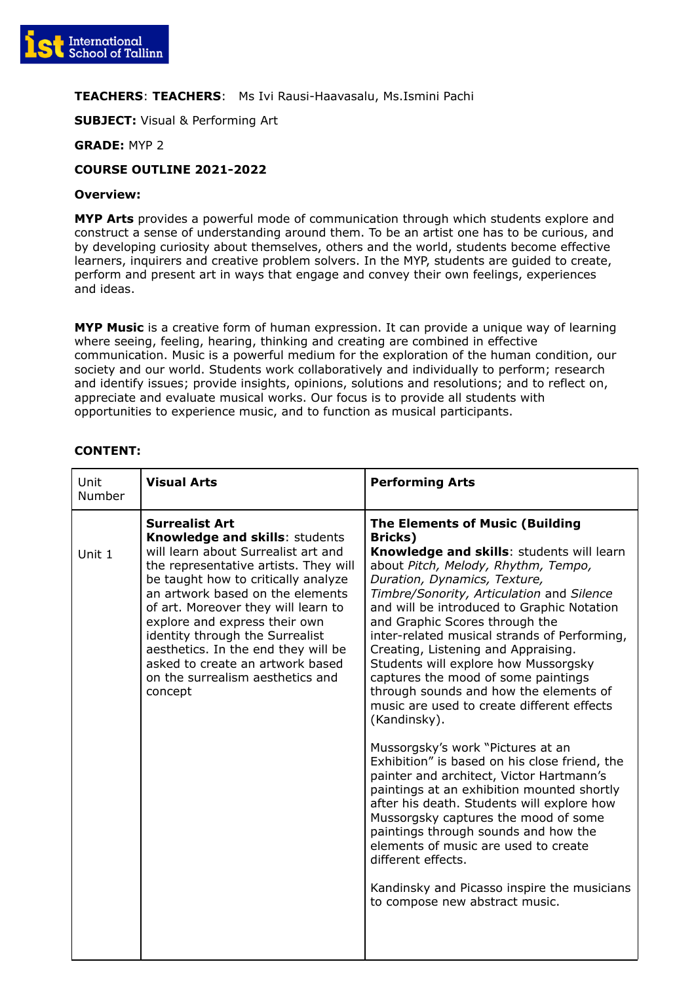

## **TEACHERS**: **TEACHERS**: Ms Ivi Rausi-Haavasalu, Ms.Ismini Pachi

**SUBJECT:** Visual & Performing Art

**GRADE:** MYP 2

# **COURSE OUTLINE 2021-2022**

#### **Overview:**

**MYP Arts** provides a powerful mode of communication through which students explore and construct a sense of understanding around them. To be an artist one has to be curious, and by developing curiosity about themselves, others and the world, students become effective learners, inquirers and creative problem solvers. In the MYP, students are guided to create, perform and present art in ways that engage and convey their own feelings, experiences and ideas.

**MYP Music** is a creative form of human expression. It can provide a unique way of learning where seeing, feeling, hearing, thinking and creating are combined in effective communication. Music is a powerful medium for the exploration of the human condition, our society and our world. Students work collaboratively and individually to perform; research and identify issues; provide insights, opinions, solutions and resolutions; and to reflect on, appreciate and evaluate musical works. Our focus is to provide all students with opportunities to experience music, and to function as musical participants.

| Unit<br><b>Visual Arts</b><br>Number                                                                                                                                                                                                                                                                                                                                                                                                                                     | <b>Performing Arts</b>                                                                                                                                                                                                                                                                                                                                                                                                                                                                                                                                                                                                                                                                                                                                                                                                                                                                                                                                                                                                                        |
|--------------------------------------------------------------------------------------------------------------------------------------------------------------------------------------------------------------------------------------------------------------------------------------------------------------------------------------------------------------------------------------------------------------------------------------------------------------------------|-----------------------------------------------------------------------------------------------------------------------------------------------------------------------------------------------------------------------------------------------------------------------------------------------------------------------------------------------------------------------------------------------------------------------------------------------------------------------------------------------------------------------------------------------------------------------------------------------------------------------------------------------------------------------------------------------------------------------------------------------------------------------------------------------------------------------------------------------------------------------------------------------------------------------------------------------------------------------------------------------------------------------------------------------|
| <b>Surrealist Art</b><br><b>Knowledge and skills: students</b><br>will learn about Surrealist art and<br>Unit 1<br>the representative artists. They will<br>be taught how to critically analyze<br>an artwork based on the elements<br>of art. Moreover they will learn to<br>explore and express their own<br>identity through the Surrealist<br>aesthetics. In the end they will be<br>asked to create an artwork based<br>on the surrealism aesthetics and<br>concept | <b>The Elements of Music (Building</b><br>Bricks)<br>Knowledge and skills: students will learn<br>about Pitch, Melody, Rhythm, Tempo,<br>Duration, Dynamics, Texture,<br>Timbre/Sonority, Articulation and Silence<br>and will be introduced to Graphic Notation<br>and Graphic Scores through the<br>inter-related musical strands of Performing,<br>Creating, Listening and Appraising.<br>Students will explore how Mussorgsky<br>captures the mood of some paintings<br>through sounds and how the elements of<br>music are used to create different effects<br>(Kandinsky).<br>Mussorgsky's work "Pictures at an<br>Exhibition" is based on his close friend, the<br>painter and architect, Victor Hartmann's<br>paintings at an exhibition mounted shortly<br>after his death. Students will explore how<br>Mussorgsky captures the mood of some<br>paintings through sounds and how the<br>elements of music are used to create<br>different effects.<br>Kandinsky and Picasso inspire the musicians<br>to compose new abstract music. |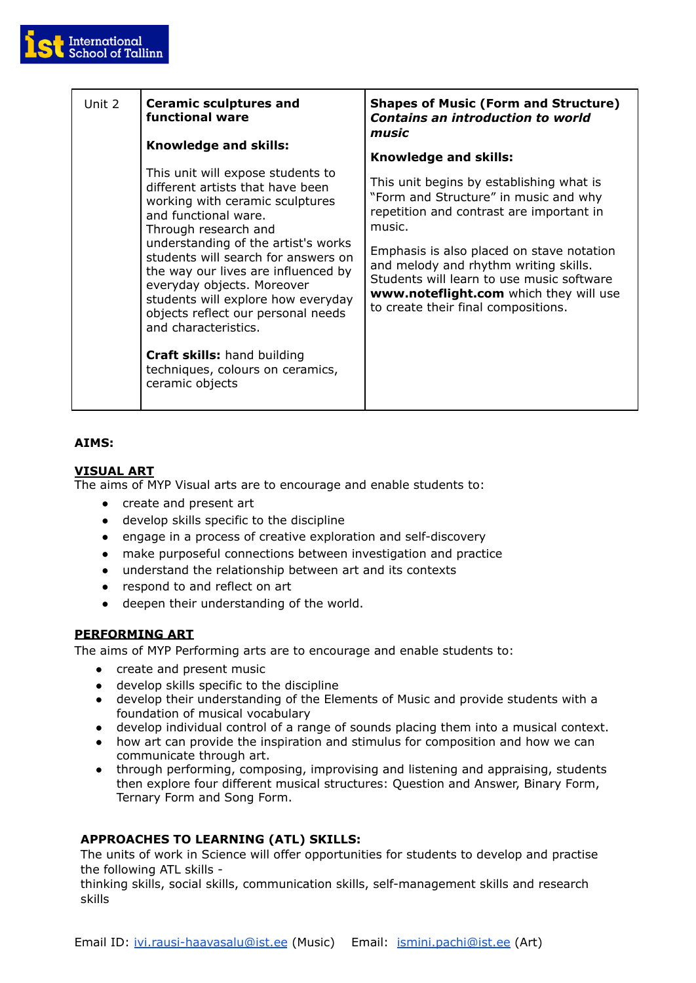

| Unit 2 | <b>Ceramic sculptures and</b><br>functional ware                                                                                                                                                                                                                                                                                                                                                                                                                                                             | <b>Shapes of Music (Form and Structure)</b><br><b>Contains an introduction to world</b><br>music                                                                                                                                                                                                                                                            |
|--------|--------------------------------------------------------------------------------------------------------------------------------------------------------------------------------------------------------------------------------------------------------------------------------------------------------------------------------------------------------------------------------------------------------------------------------------------------------------------------------------------------------------|-------------------------------------------------------------------------------------------------------------------------------------------------------------------------------------------------------------------------------------------------------------------------------------------------------------------------------------------------------------|
|        | Knowledge and skills:                                                                                                                                                                                                                                                                                                                                                                                                                                                                                        | Knowledge and skills:                                                                                                                                                                                                                                                                                                                                       |
|        | This unit will expose students to<br>different artists that have been<br>working with ceramic sculptures<br>and functional ware.<br>Through research and<br>understanding of the artist's works<br>students will search for answers on<br>the way our lives are influenced by<br>everyday objects. Moreover<br>students will explore how everyday<br>objects reflect our personal needs<br>and characteristics.<br><b>Craft skills:</b> hand building<br>techniques, colours on ceramics,<br>ceramic objects | This unit begins by establishing what is<br>"Form and Structure" in music and why<br>repetition and contrast are important in<br>music.<br>Emphasis is also placed on stave notation<br>and melody and rhythm writing skills.<br>Students will learn to use music software<br>www.noteflight.com which they will use<br>to create their final compositions. |

# **AIMS:**

# **VISUAL ART**

The aims of MYP Visual arts are to encourage and enable students to:

- create and present art
- develop skills specific to the discipline
- engage in a process of creative exploration and self-discovery
- make purposeful connections between investigation and practice
- understand the relationship between art and its contexts
- respond to and reflect on art
- deepen their understanding of the world.

# **PERFORMING ART**

The aims of MYP Performing arts are to encourage and enable students to:

- create and present music
- develop skills specific to the discipline
- develop their understanding of the Elements of Music and provide students with a foundation of musical vocabulary
- develop individual control of a range of sounds placing them into a musical context.
- how art can provide the inspiration and stimulus for composition and how we can communicate through art.
- through performing, composing, improvising and listening and appraising, students then explore four different musical structures: Question and Answer, Binary Form, Ternary Form and Song Form.

# **APPROACHES TO LEARNING (ATL) SKILLS:**

The units of work in Science will offer opportunities for students to develop and practise the following ATL skills -

thinking skills, social skills, communication skills, self-management skills and research skills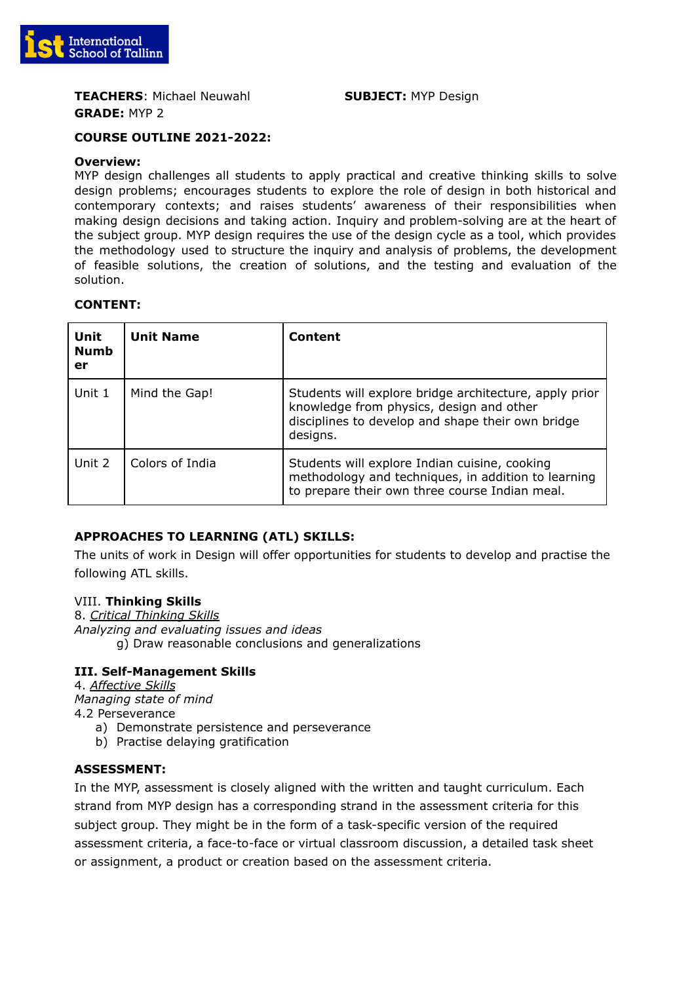

**TEACHERS**: Michael Neuwahl **SUBJECT:** MYP Design **GRADE:** MYP 2

## **COURSE OUTLINE 2021-2022:**

#### **Overview:**

MYP design challenges all students to apply practical and creative thinking skills to solve design problems; encourages students to explore the role of design in both historical and contemporary contexts; and raises students' awareness of their responsibilities when making design decisions and taking action. Inquiry and problem-solving are at the heart of the subject group. MYP design requires the use of the design cycle as a tool, which provides the methodology used to structure the inquiry and analysis of problems, the development of feasible solutions, the creation of solutions, and the testing and evaluation of the solution.

## **CONTENT:**

| Unit<br><b>Numb</b><br>er | <b>Unit Name</b> | <b>Content</b>                                                                                                                                                      |
|---------------------------|------------------|---------------------------------------------------------------------------------------------------------------------------------------------------------------------|
| Unit 1                    | Mind the Gap!    | Students will explore bridge architecture, apply prior<br>knowledge from physics, design and other<br>disciplines to develop and shape their own bridge<br>designs. |
| Unit 2                    | Colors of India  | Students will explore Indian cuisine, cooking<br>methodology and techniques, in addition to learning<br>to prepare their own three course Indian meal.              |

## **APPROACHES TO LEARNING (ATL) SKILLS:**

The units of work in Design will offer opportunities for students to develop and practise the following ATL skills.

## VIII. **Thinking Skills**

8. *Critical Thinking Skills Analyzing and evaluating issues and ideas* g) Draw reasonable conclusions and generalizations

## **III. Self-Management Skills**

4. *Affective Skills Managing state of mind* 4.2 Perseverance

- a) Demonstrate persistence and perseverance
- b) Practise delaying gratification

## **ASSESSMENT:**

In the MYP, assessment is closely aligned with the written and taught curriculum. Each strand from MYP design has a corresponding strand in the assessment criteria for this subject group. They might be in the form of a task-specific version of the required assessment criteria, a face-to-face or virtual classroom discussion, a detailed task sheet or assignment, a product or creation based on the assessment criteria.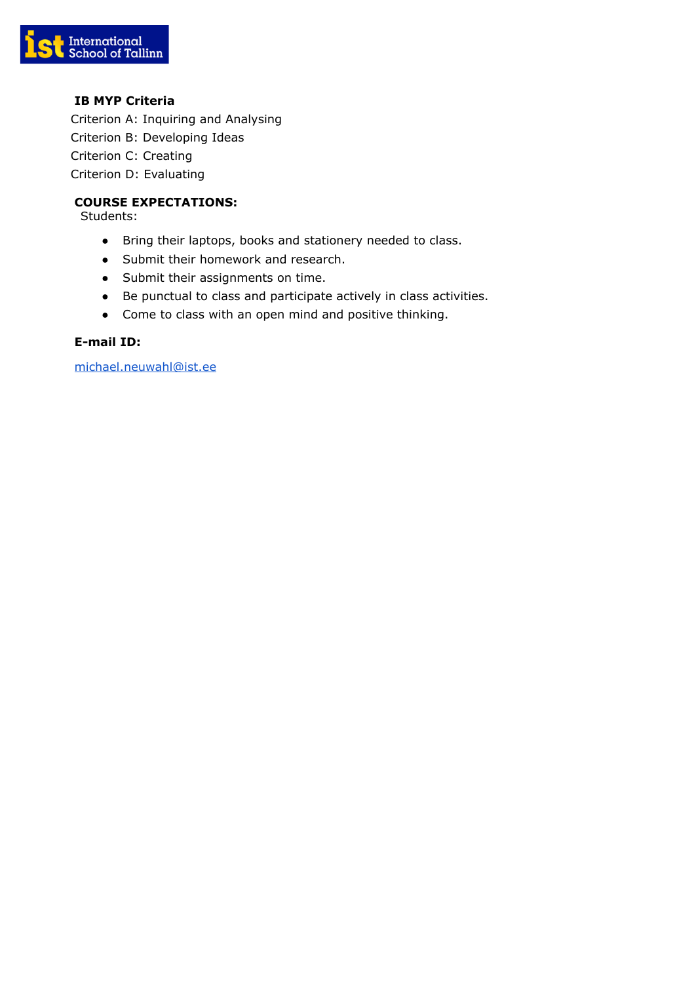

# **IB MYP Criteria**

Criterion A: Inquiring and Analysing Criterion B: Developing Ideas Criterion C: Creating Criterion D: Evaluating

# **COURSE EXPECTATIONS:**

Students:

- Bring their laptops, books and stationery needed to class.
- Submit their homework and research.
- Submit their assignments on time.
- Be punctual to class and participate actively in class activities.
- Come to class with an open mind and positive thinking.

## **E-mail ID:**

[michael.neuwahl@ist.ee](mailto:michael.neuwahl@ist.ee)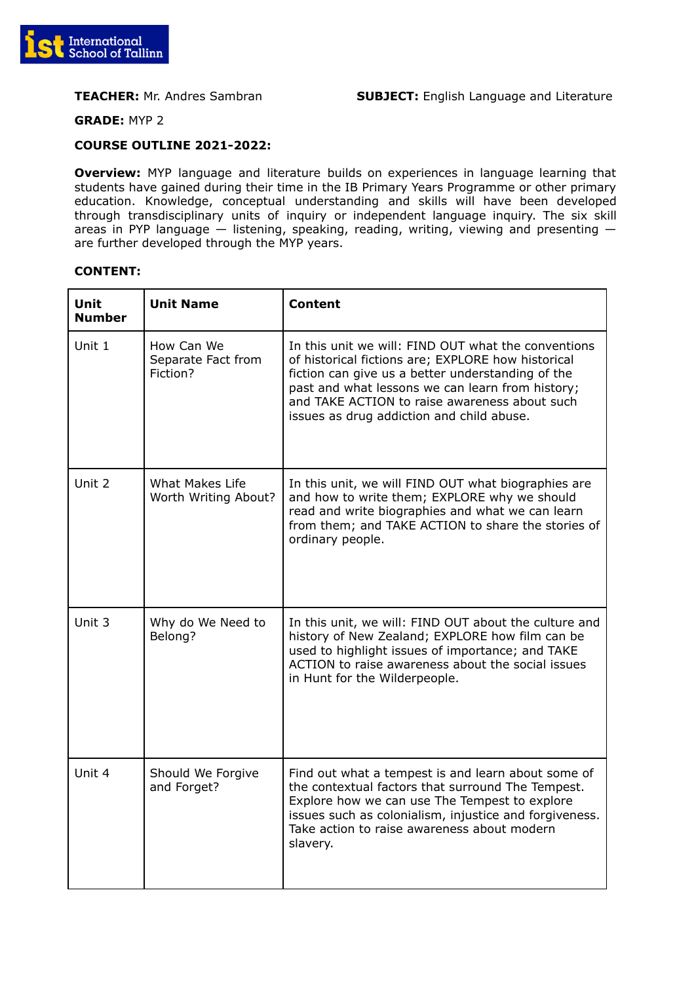

**GRADE:** MYP 2

## **COURSE OUTLINE 2021-2022:**

**Overview:** MYP language and literature builds on experiences in language learning that students have gained during their time in the IB Primary Years Programme or other primary education. Knowledge, conceptual understanding and skills will have been developed through transdisciplinary units of inquiry or independent language inquiry. The six skill areas in PYP language — listening, speaking, reading, writing, viewing and presenting are further developed through the MYP years.

| Unit<br><b>Number</b> | <b>Unit Name</b>                             | <b>Content</b>                                                                                                                                                                                                                                                                                                   |
|-----------------------|----------------------------------------------|------------------------------------------------------------------------------------------------------------------------------------------------------------------------------------------------------------------------------------------------------------------------------------------------------------------|
| Unit 1                | How Can We<br>Separate Fact from<br>Fiction? | In this unit we will: FIND OUT what the conventions<br>of historical fictions are; EXPLORE how historical<br>fiction can give us a better understanding of the<br>past and what lessons we can learn from history;<br>and TAKE ACTION to raise awareness about such<br>issues as drug addiction and child abuse. |
| Unit 2                | What Makes Life<br>Worth Writing About?      | In this unit, we will FIND OUT what biographies are<br>and how to write them; EXPLORE why we should<br>read and write biographies and what we can learn<br>from them; and TAKE ACTION to share the stories of<br>ordinary people.                                                                                |
| Unit 3                | Why do We Need to<br>Belong?                 | In this unit, we will: FIND OUT about the culture and<br>history of New Zealand; EXPLORE how film can be<br>used to highlight issues of importance; and TAKE<br>ACTION to raise awareness about the social issues<br>in Hunt for the Wilderpeople.                                                               |
| Unit 4                | Should We Forgive<br>and Forget?             | Find out what a tempest is and learn about some of<br>the contextual factors that surround The Tempest.<br>Explore how we can use The Tempest to explore<br>issues such as colonialism, injustice and forgiveness.<br>Take action to raise awareness about modern<br>slavery.                                    |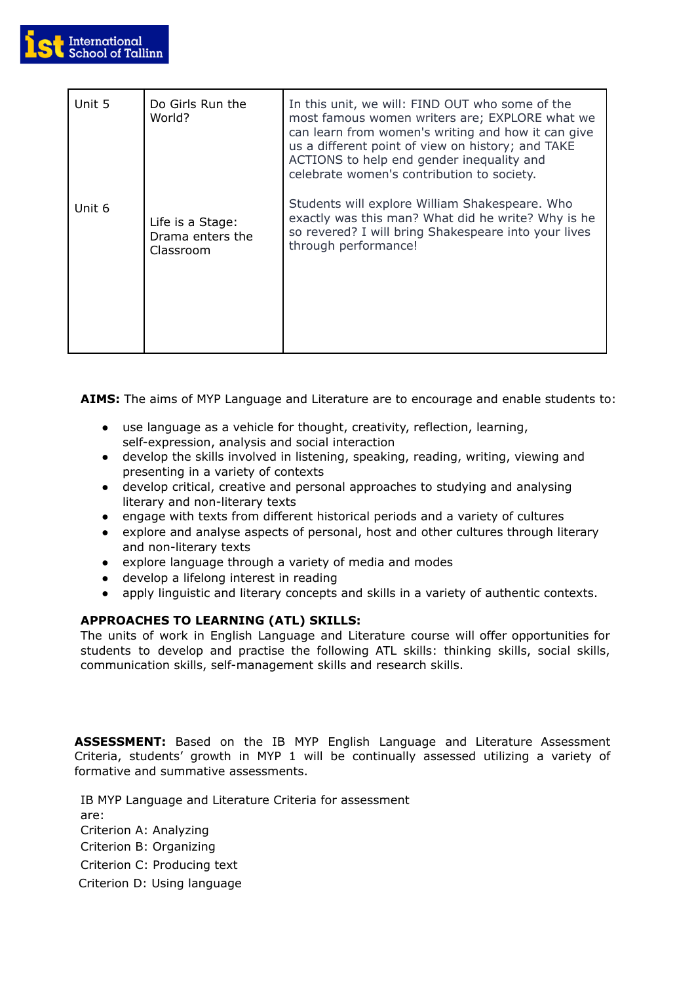

| Unit 5 | Do Girls Run the<br>World?                        | In this unit, we will: FIND OUT who some of the<br>most famous women writers are; EXPLORE what we<br>can learn from women's writing and how it can give<br>us a different point of view on history; and TAKE<br>ACTIONS to help end gender inequality and<br>celebrate women's contribution to society. |
|--------|---------------------------------------------------|---------------------------------------------------------------------------------------------------------------------------------------------------------------------------------------------------------------------------------------------------------------------------------------------------------|
| Unit 6 | Life is a Stage:<br>Drama enters the<br>Classroom | Students will explore William Shakespeare. Who<br>exactly was this man? What did he write? Why is he<br>so revered? I will bring Shakespeare into your lives<br>through performance!                                                                                                                    |

**AIMS:** The aims of MYP Language and Literature are to encourage and enable students to:

- use language as a vehicle for thought, creativity, reflection, learning, self-expression, analysis and social interaction
- develop the skills involved in listening, speaking, reading, writing, viewing and presenting in a variety of contexts
- develop critical, creative and personal approaches to studying and analysing literary and non-literary texts
- engage with texts from different historical periods and a variety of cultures
- explore and analyse aspects of personal, host and other cultures through literary and non-literary texts
- explore language through a variety of media and modes
- develop a lifelong interest in reading
- apply linguistic and literary concepts and skills in a variety of authentic contexts.

# **APPROACHES TO LEARNING (ATL) SKILLS:**

The units of work in English Language and Literature course will offer opportunities for students to develop and practise the following ATL skills: thinking skills, social skills, communication skills, self-management skills and research skills.

**ASSESSMENT:** Based on the IB MYP English Language and Literature Assessment Criteria, students' growth in MYP 1 will be continually assessed utilizing a variety of formative and summative assessments.

IB MYP Language and Literature Criteria for assessment are: Criterion A: Analyzing Criterion B: Organizing Criterion C: Producing text Criterion D: Using language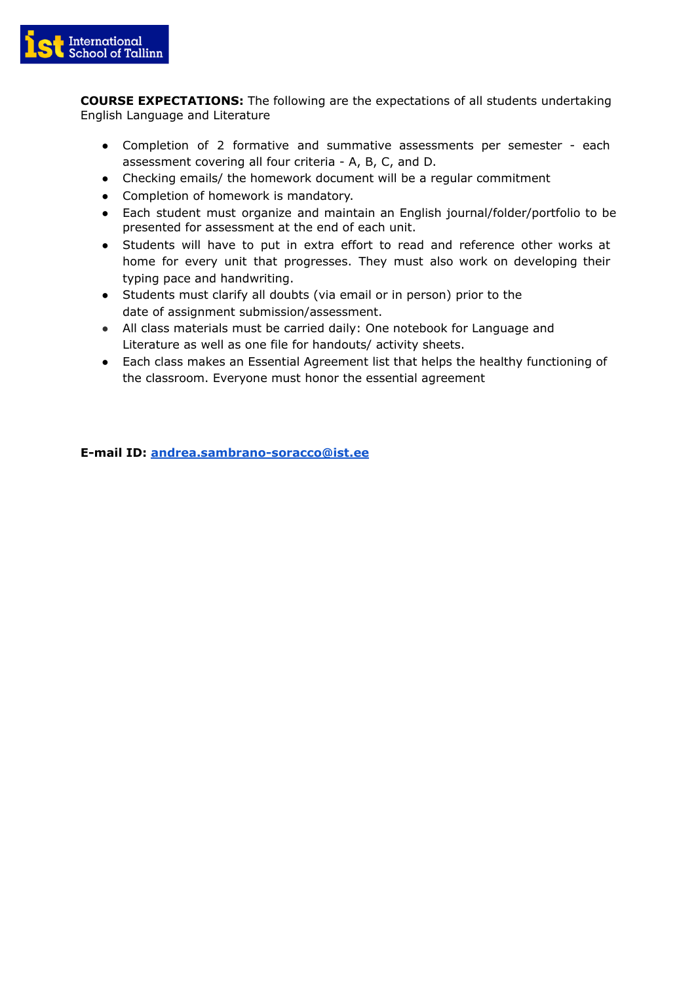

**COURSE EXPECTATIONS:** The following are the expectations of all students undertaking English Language and Literature

- Completion of 2 formative and summative assessments per semester each assessment covering all four criteria - A, B, C, and D.
- Checking emails/ the homework document will be a regular commitment
- Completion of homework is mandatory.
- Each student must organize and maintain an English journal/folder/portfolio to be presented for assessment at the end of each unit.
- Students will have to put in extra effort to read and reference other works at home for every unit that progresses. They must also work on developing their typing pace and handwriting.
- Students must clarify all doubts (via email or in person) prior to the date of assignment submission/assessment.
- All class materials must be carried daily: One notebook for Language and Literature as well as one file for handouts/ activity sheets.
- Each class makes an Essential Agreement list that helps the healthy functioning of the classroom. Everyone must honor the essential agreement

**E-mail ID: [andrea.sambrano-soracco@ist.ee](mailto:andrea.sambrano-soracco@ist.ee)**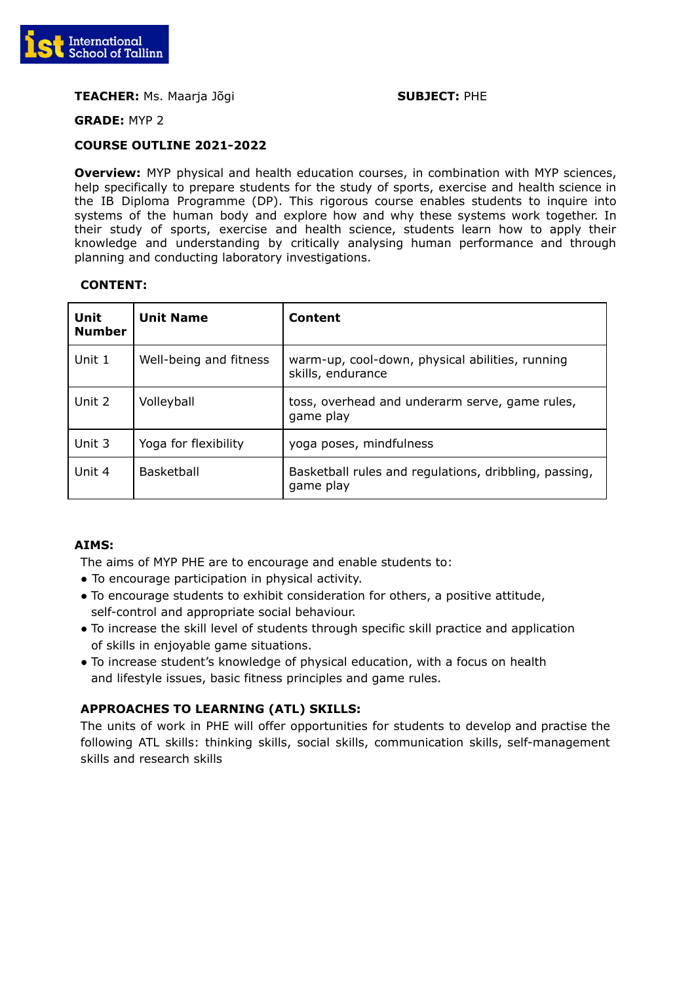

## **TEACHER:** Ms. Maarja Jõgi **SUBJECT:** PHE

**GRADE:** MYP 2

## **COURSE OUTLINE 2021-2022**

**Overview:** MYP physical and health education courses, in combination with MYP sciences, help specifically to prepare students for the study of sports, exercise and health science in the IB Diploma Programme (DP). This rigorous course enables students to inquire into systems of the human body and explore how and why these systems work together. In their study of sports, exercise and health science, students learn how to apply their knowledge and understanding by critically analysing human performance and through planning and conducting laboratory investigations.

## **CONTENT:**

| <b>Unit</b><br><b>Number</b> | <b>Unit Name</b>       | Content                                                              |
|------------------------------|------------------------|----------------------------------------------------------------------|
| Unit 1                       | Well-being and fitness | warm-up, cool-down, physical abilities, running<br>skills, endurance |
| Unit 2                       | Volleyball             | toss, overhead and underarm serve, game rules,<br>game play          |
| Unit 3                       | Yoga for flexibility   | yoga poses, mindfulness                                              |
| Unit 4                       | <b>Basketball</b>      | Basketball rules and regulations, dribbling, passing,<br>game play   |

## **AIMS:**

The aims of MYP PHE are to encourage and enable students to:

- To encourage participation in physical activity.
- To encourage students to exhibit consideration for others, a positive attitude, self-control and appropriate social behaviour.
- To increase the skill level of students through specific skill practice and application of skills in enjoyable game situations.
- To increase student's knowledge of physical education, with a focus on health and lifestyle issues, basic fitness principles and game rules.

# **APPROACHES TO LEARNING (ATL) SKILLS:**

The units of work in PHE will offer opportunities for students to develop and practise the following ATL skills: thinking skills, social skills, communication skills, self-management skills and research skills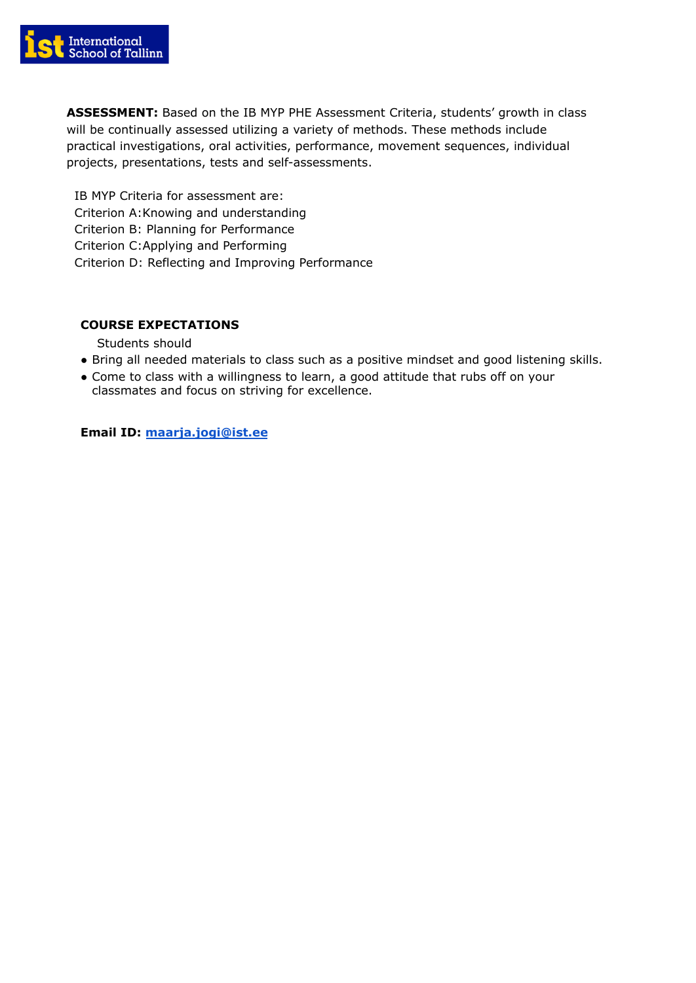

**ASSESSMENT:** Based on the IB MYP PHE Assessment Criteria, students' growth in class will be continually assessed utilizing a variety of methods. These methods include practical investigations, oral activities, performance, movement sequences, individual projects, presentations, tests and self-assessments.

IB MYP Criteria for assessment are: Criterion A:Knowing and understanding Criterion B: Planning for Performance Criterion C:Applying and Performing Criterion D: Reflecting and Improving Performance

# **COURSE EXPECTATIONS**

Students should

- Bring all needed materials to class such as a positive mindset and good listening skills.
- Come to class with a willingness to learn, a good attitude that rubs off on your classmates and focus on striving for excellence.

## **Email ID: [maarja.jogi@ist.ee](mailto:maarja.jogi@ist.ee)**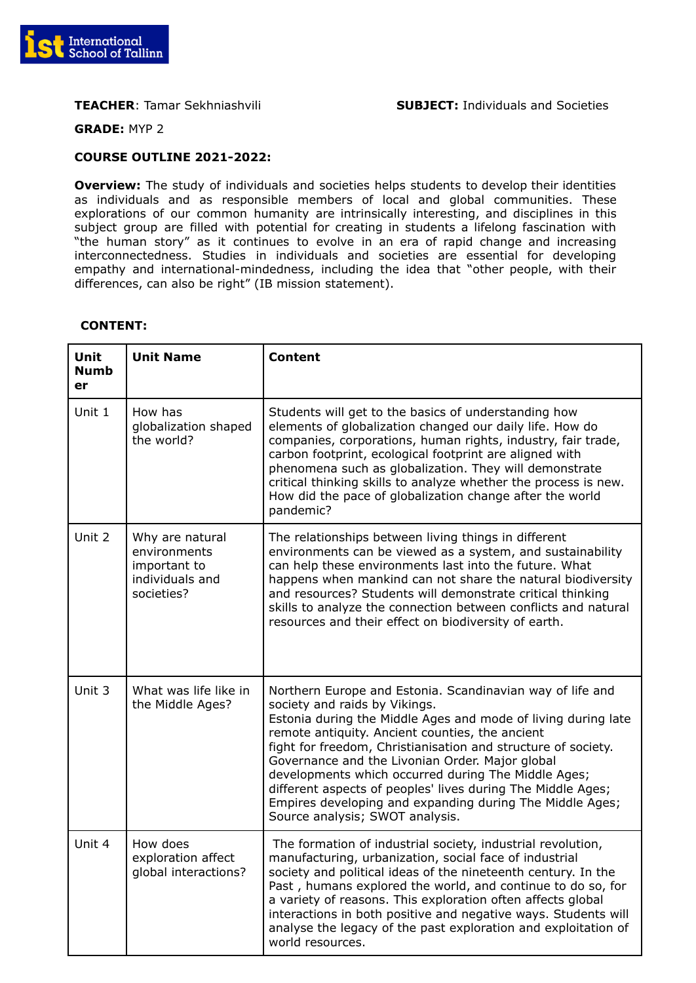

**GRADE:** MYP 2

## **COURSE OUTLINE 2021-2022:**

**Overview:** The study of individuals and societies helps students to develop their identities as individuals and as responsible members of local and global communities. These explorations of our common humanity are intrinsically interesting, and disciplines in this subject group are filled with potential for creating in students a lifelong fascination with "the human story" as it continues to evolve in an era of rapid change and increasing interconnectedness. Studies in individuals and societies are essential for developing empathy and international-mindedness, including the idea that "other people, with their differences, can also be right" (IB mission statement).

| <b>Unit</b><br><b>Numb</b><br>er | <b>Unit Name</b>                                                                 | <b>Content</b>                                                                                                                                                                                                                                                                                                                                                                                                                                                                                                                                          |
|----------------------------------|----------------------------------------------------------------------------------|---------------------------------------------------------------------------------------------------------------------------------------------------------------------------------------------------------------------------------------------------------------------------------------------------------------------------------------------------------------------------------------------------------------------------------------------------------------------------------------------------------------------------------------------------------|
| Unit 1                           | How has<br>globalization shaped<br>the world?                                    | Students will get to the basics of understanding how<br>elements of globalization changed our daily life. How do<br>companies, corporations, human rights, industry, fair trade,<br>carbon footprint, ecological footprint are aligned with<br>phenomena such as globalization. They will demonstrate<br>critical thinking skills to analyze whether the process is new.<br>How did the pace of globalization change after the world<br>pandemic?                                                                                                       |
| Unit 2                           | Why are natural<br>environments<br>important to<br>individuals and<br>societies? | The relationships between living things in different<br>environments can be viewed as a system, and sustainability<br>can help these environments last into the future. What<br>happens when mankind can not share the natural biodiversity<br>and resources? Students will demonstrate critical thinking<br>skills to analyze the connection between conflicts and natural<br>resources and their effect on biodiversity of earth.                                                                                                                     |
| Unit 3                           | What was life like in<br>the Middle Ages?                                        | Northern Europe and Estonia. Scandinavian way of life and<br>society and raids by Vikings.<br>Estonia during the Middle Ages and mode of living during late<br>remote antiquity. Ancient counties, the ancient<br>fight for freedom, Christianisation and structure of society.<br>Governance and the Livonian Order. Major global<br>developments which occurred during The Middle Ages;<br>different aspects of peoples' lives during The Middle Ages;<br>Empires developing and expanding during The Middle Ages;<br>Source analysis; SWOT analysis. |
| Unit 4                           | How does<br>exploration affect<br>global interactions?                           | The formation of industrial society, industrial revolution,<br>manufacturing, urbanization, social face of industrial<br>society and political ideas of the nineteenth century. In the<br>Past, humans explored the world, and continue to do so, for<br>a variety of reasons. This exploration often affects global<br>interactions in both positive and negative ways. Students will<br>analyse the legacy of the past exploration and exploitation of<br>world resources.                                                                            |